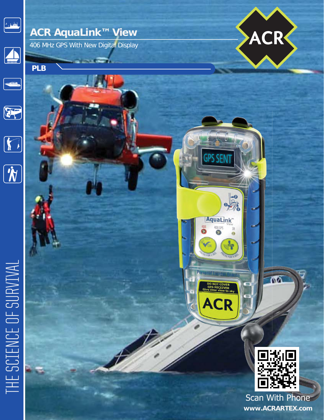

## **ACR AquaLink™ View**

406 MHz GPS With New Digital Display





**PLB**







## THE SCIENCE OF SURVIVAL



**ACR** 

Ńδ

**Scan With Phone www.ACRARTEX.com**